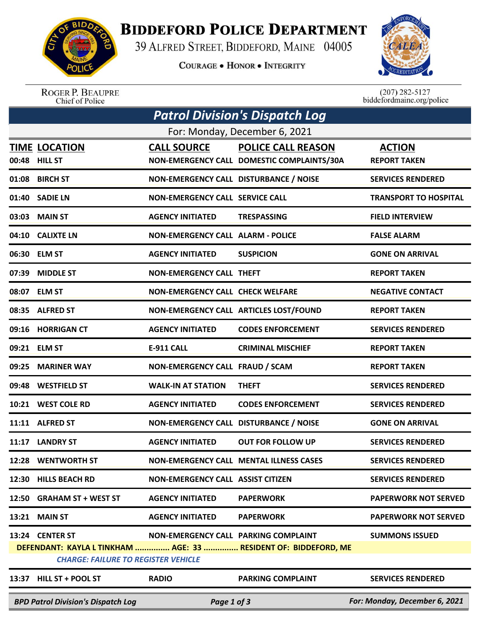

## **BIDDEFORD POLICE DEPARTMENT**

39 ALFRED STREET, BIDDEFORD, MAINE 04005

**COURAGE . HONOR . INTEGRITY** 



ROGER P. BEAUPRE<br>Chief of Police

 $(207)$  282-5127<br>biddefordmaine.org/police

| Patrol Division's Dispatch Log |                                            |                                          |                                                                 |                               |  |  |  |  |
|--------------------------------|--------------------------------------------|------------------------------------------|-----------------------------------------------------------------|-------------------------------|--|--|--|--|
| For: Monday, December 6, 2021  |                                            |                                          |                                                                 |                               |  |  |  |  |
|                                | <b>TIME LOCATION</b>                       | <b>CALL SOURCE</b>                       | <b>POLICE CALL REASON</b>                                       | <b>ACTION</b>                 |  |  |  |  |
|                                | 00:48 HILL ST                              |                                          | NON-EMERGENCY CALL DOMESTIC COMPLAINTS/30A                      | <b>REPORT TAKEN</b>           |  |  |  |  |
|                                | 01:08 BIRCH ST                             | NON-EMERGENCY CALL DISTURBANCE / NOISE   |                                                                 | <b>SERVICES RENDERED</b>      |  |  |  |  |
|                                | 01:40 SADIE LN                             | <b>NON-EMERGENCY CALL SERVICE CALL</b>   |                                                                 | <b>TRANSPORT TO HOSPITAL</b>  |  |  |  |  |
|                                | 03:03 MAIN ST                              | <b>AGENCY INITIATED</b>                  | <b>TRESPASSING</b>                                              | <b>FIELD INTERVIEW</b>        |  |  |  |  |
|                                | 04:10 CALIXTE LN                           | <b>NON-EMERGENCY CALL ALARM - POLICE</b> |                                                                 | <b>FALSE ALARM</b>            |  |  |  |  |
|                                | 06:30 ELM ST                               | <b>AGENCY INITIATED</b>                  | <b>SUSPICION</b>                                                | <b>GONE ON ARRIVAL</b>        |  |  |  |  |
| 07:39                          | <b>MIDDLE ST</b>                           | <b>NON-EMERGENCY CALL THEFT</b>          |                                                                 | <b>REPORT TAKEN</b>           |  |  |  |  |
|                                | 08:07 ELM ST                               | <b>NON-EMERGENCY CALL CHECK WELFARE</b>  |                                                                 | <b>NEGATIVE CONTACT</b>       |  |  |  |  |
|                                | 08:35 ALFRED ST                            |                                          | NON-EMERGENCY CALL ARTICLES LOST/FOUND                          | <b>REPORT TAKEN</b>           |  |  |  |  |
|                                | 09:16 HORRIGAN CT                          | <b>AGENCY INITIATED</b>                  | <b>CODES ENFORCEMENT</b>                                        | <b>SERVICES RENDERED</b>      |  |  |  |  |
|                                | 09:21 ELM ST                               | <b>E-911 CALL</b>                        | <b>CRIMINAL MISCHIEF</b>                                        | <b>REPORT TAKEN</b>           |  |  |  |  |
|                                | 09:25 MARINER WAY                          | NON-EMERGENCY CALL FRAUD / SCAM          |                                                                 | <b>REPORT TAKEN</b>           |  |  |  |  |
|                                | 09:48 WESTFIELD ST                         | <b>WALK-IN AT STATION</b>                | <b>THEFT</b>                                                    | <b>SERVICES RENDERED</b>      |  |  |  |  |
|                                | 10:21 WEST COLE RD                         | <b>AGENCY INITIATED</b>                  | <b>CODES ENFORCEMENT</b>                                        | <b>SERVICES RENDERED</b>      |  |  |  |  |
|                                | 11:11 ALFRED ST                            | NON-EMERGENCY CALL DISTURBANCE / NOISE   |                                                                 | <b>GONE ON ARRIVAL</b>        |  |  |  |  |
|                                | 11:17 LANDRY ST                            | <b>AGENCY INITIATED</b>                  | <b>OUT FOR FOLLOW UP</b>                                        | <b>SERVICES RENDERED</b>      |  |  |  |  |
|                                | 12:28 WENTWORTH ST                         |                                          | NON-EMERGENCY CALL MENTAL ILLNESS CASES                         | <b>SERVICES RENDERED</b>      |  |  |  |  |
|                                | 12:30 HILLS BEACH RD                       | <b>NON-EMERGENCY CALL ASSIST CITIZEN</b> |                                                                 | <b>SERVICES RENDERED</b>      |  |  |  |  |
|                                | 12:50 GRAHAM ST + WEST ST                  | <b>AGENCY INITIATED</b>                  | <b>PAPERWORK</b>                                                | <b>PAPERWORK NOT SERVED</b>   |  |  |  |  |
|                                | 13:21 MAIN ST                              | <b>AGENCY INITIATED</b>                  | <b>PAPERWORK</b>                                                | <b>PAPERWORK NOT SERVED</b>   |  |  |  |  |
|                                | 13:24 CENTER ST                            | NON-EMERGENCY CALL PARKING COMPLAINT     |                                                                 | <b>SUMMONS ISSUED</b>         |  |  |  |  |
|                                |                                            |                                          | DEFENDANT: KAYLA L TINKHAM  AGE: 33  RESIDENT OF: BIDDEFORD, ME |                               |  |  |  |  |
|                                | <b>CHARGE: FAILURE TO REGISTER VEHICLE</b> |                                          |                                                                 |                               |  |  |  |  |
|                                | 13:37 HILL ST + POOL ST                    | <b>RADIO</b>                             | <b>PARKING COMPLAINT</b>                                        | <b>SERVICES RENDERED</b>      |  |  |  |  |
|                                | <b>BPD Patrol Division's Dispatch Log</b>  | Page 1 of 3                              |                                                                 | For: Monday, December 6, 2021 |  |  |  |  |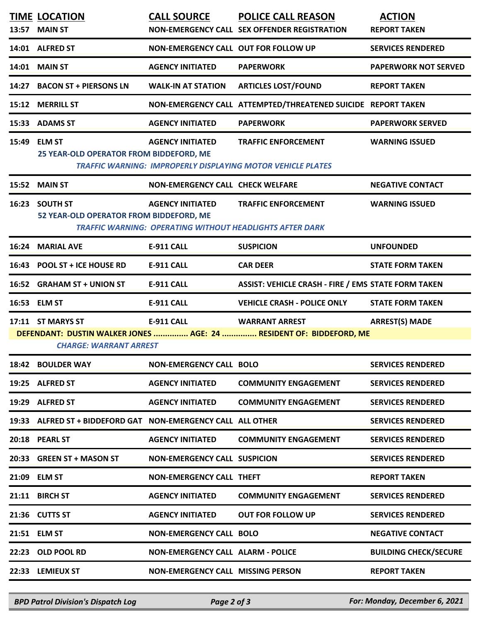|                                                                                                      | <b>TIME LOCATION</b><br>13:57 MAIN ST                        | <b>CALL SOURCE</b>                                                                         | <b>POLICE CALL REASON</b><br>NON-EMERGENCY CALL SEX OFFENDER REGISTRATION                        | <b>ACTION</b><br><b>REPORT TAKEN</b> |  |  |  |
|------------------------------------------------------------------------------------------------------|--------------------------------------------------------------|--------------------------------------------------------------------------------------------|--------------------------------------------------------------------------------------------------|--------------------------------------|--|--|--|
|                                                                                                      | 14:01 ALFRED ST                                              | NON-EMERGENCY CALL OUT FOR FOLLOW UP                                                       |                                                                                                  | <b>SERVICES RENDERED</b>             |  |  |  |
|                                                                                                      | <b>14:01 MAIN ST</b>                                         | <b>AGENCY INITIATED</b>                                                                    | <b>PAPERWORK</b>                                                                                 | <b>PAPERWORK NOT SERVED</b>          |  |  |  |
|                                                                                                      | 14:27 BACON ST + PIERSONS LN                                 | <b>WALK-IN AT STATION</b>                                                                  | <b>ARTICLES LOST/FOUND</b>                                                                       | <b>REPORT TAKEN</b>                  |  |  |  |
|                                                                                                      | 15:12 MERRILL ST                                             |                                                                                            | NON-EMERGENCY CALL ATTEMPTED/THREATENED SUICIDE REPORT TAKEN                                     |                                      |  |  |  |
|                                                                                                      | 15:33 ADAMS ST                                               | <b>AGENCY INITIATED</b>                                                                    | <b>PAPERWORK</b>                                                                                 | <b>PAPERWORK SERVED</b>              |  |  |  |
|                                                                                                      | 15:49 ELM ST<br>25 YEAR-OLD OPERATOR FROM BIDDEFORD, ME      | <b>AGENCY INITIATED</b>                                                                    | <b>TRAFFIC ENFORCEMENT</b><br><b>TRAFFIC WARNING: IMPROPERLY DISPLAYING MOTOR VEHICLE PLATES</b> | <b>WARNING ISSUED</b>                |  |  |  |
|                                                                                                      | 15:52 MAIN ST                                                | <b>NON-EMERGENCY CALL CHECK WELFARE</b>                                                    |                                                                                                  | <b>NEGATIVE CONTACT</b>              |  |  |  |
|                                                                                                      | 16:23 SOUTH ST<br>52 YEAR-OLD OPERATOR FROM BIDDEFORD, ME    | <b>AGENCY INITIATED</b><br><b>TRAFFIC WARNING: OPERATING WITHOUT HEADLIGHTS AFTER DARK</b> | <b>TRAFFIC ENFORCEMENT</b>                                                                       | <b>WARNING ISSUED</b>                |  |  |  |
| 16:24                                                                                                | <b>MARIAL AVE</b>                                            | <b>E-911 CALL</b>                                                                          | <b>SUSPICION</b>                                                                                 | <b>UNFOUNDED</b>                     |  |  |  |
|                                                                                                      | 16:43 POOL ST + ICE HOUSE RD                                 | <b>E-911 CALL</b>                                                                          | <b>CAR DEER</b>                                                                                  | <b>STATE FORM TAKEN</b>              |  |  |  |
|                                                                                                      | 16:52 GRAHAM ST + UNION ST                                   | <b>E-911 CALL</b>                                                                          | <b>ASSIST: VEHICLE CRASH - FIRE / EMS STATE FORM TAKEN</b>                                       |                                      |  |  |  |
|                                                                                                      | 16:53 ELM ST                                                 | <b>E-911 CALL</b>                                                                          | <b>VEHICLE CRASH - POLICE ONLY</b>                                                               | <b>STATE FORM TAKEN</b>              |  |  |  |
|                                                                                                      | 17:11 ST MARYS ST                                            | <b>E-911 CALL</b>                                                                          | <b>WARRANT ARREST</b>                                                                            | <b>ARREST(S) MADE</b>                |  |  |  |
| DEFENDANT: DUSTIN WALKER JONES  AGE: 24  RESIDENT OF: BIDDEFORD, ME<br><b>CHARGE: WARRANT ARREST</b> |                                                              |                                                                                            |                                                                                                  |                                      |  |  |  |
|                                                                                                      | 18:42 BOULDER WAY                                            | <b>NON-EMERGENCY CALL BOLO</b>                                                             |                                                                                                  | <b>SERVICES RENDERED</b>             |  |  |  |
|                                                                                                      | 19:25 ALFRED ST                                              | <b>AGENCY INITIATED</b>                                                                    | <b>COMMUNITY ENGAGEMENT</b>                                                                      | <b>SERVICES RENDERED</b>             |  |  |  |
|                                                                                                      | 19:29 ALFRED ST                                              | <b>AGENCY INITIATED</b>                                                                    | <b>COMMUNITY ENGAGEMENT</b>                                                                      | <b>SERVICES RENDERED</b>             |  |  |  |
|                                                                                                      | 19:33 ALFRED ST + BIDDEFORD GAT NON-EMERGENCY CALL ALL OTHER |                                                                                            |                                                                                                  | <b>SERVICES RENDERED</b>             |  |  |  |
|                                                                                                      | 20:18 PEARL ST                                               | <b>AGENCY INITIATED</b>                                                                    | <b>COMMUNITY ENGAGEMENT</b>                                                                      | <b>SERVICES RENDERED</b>             |  |  |  |
|                                                                                                      | 20:33 GREEN ST + MASON ST                                    | <b>NON-EMERGENCY CALL SUSPICION</b>                                                        |                                                                                                  | <b>SERVICES RENDERED</b>             |  |  |  |
|                                                                                                      | 21:09 ELM ST                                                 | <b>NON-EMERGENCY CALL THEFT</b>                                                            |                                                                                                  | <b>REPORT TAKEN</b>                  |  |  |  |
|                                                                                                      | 21:11 BIRCH ST                                               | <b>AGENCY INITIATED</b>                                                                    | <b>COMMUNITY ENGAGEMENT</b>                                                                      | <b>SERVICES RENDERED</b>             |  |  |  |
|                                                                                                      | 21:36 CUTTS ST                                               | <b>AGENCY INITIATED</b>                                                                    | <b>OUT FOR FOLLOW UP</b>                                                                         | <b>SERVICES RENDERED</b>             |  |  |  |
|                                                                                                      | 21:51 ELM ST                                                 | <b>NON-EMERGENCY CALL BOLO</b>                                                             |                                                                                                  | <b>NEGATIVE CONTACT</b>              |  |  |  |
|                                                                                                      | 22:23 OLD POOL RD                                            | <b>NON-EMERGENCY CALL ALARM - POLICE</b>                                                   |                                                                                                  | <b>BUILDING CHECK/SECURE</b>         |  |  |  |
|                                                                                                      | 22:33 LEMIEUX ST                                             | <b>NON-EMERGENCY CALL MISSING PERSON</b>                                                   |                                                                                                  | <b>REPORT TAKEN</b>                  |  |  |  |
|                                                                                                      |                                                              |                                                                                            |                                                                                                  |                                      |  |  |  |

*BPD Patrol Division's Dispatch Log Page 2 of 3 For: Monday, December 6, 2021*